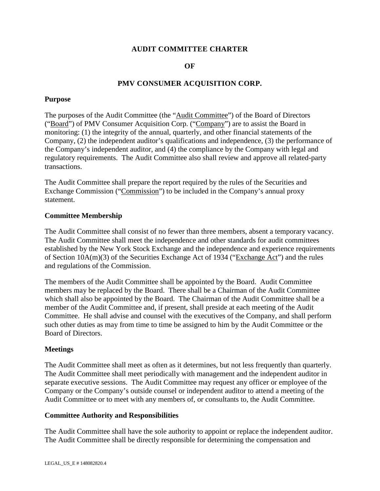# **AUDIT COMMITTEE CHARTER**

# **OF**

# **PMV CONSUMER ACQUISITION CORP.**

#### **Purpose**

The purposes of the Audit Committee (the "Audit Committee") of the Board of Directors ("Board") of PMV Consumer Acquisition Corp. ("Company") are to assist the Board in monitoring: (1) the integrity of the annual, quarterly, and other financial statements of the Company, (2) the independent auditor's qualifications and independence, (3) the performance of the Company's independent auditor, and (4) the compliance by the Company with legal and regulatory requirements. The Audit Committee also shall review and approve all related-party transactions.

The Audit Committee shall prepare the report required by the rules of the Securities and Exchange Commission ("Commission") to be included in the Company's annual proxy statement.

#### **Committee Membership**

The Audit Committee shall consist of no fewer than three members, absent a temporary vacancy. The Audit Committee shall meet the independence and other standards for audit committees established by the New York Stock Exchange and the independence and experience requirements of Section 10A(m)(3) of the Securities Exchange Act of 1934 ("Exchange Act") and the rules and regulations of the Commission.

The members of the Audit Committee shall be appointed by the Board. Audit Committee members may be replaced by the Board. There shall be a Chairman of the Audit Committee which shall also be appointed by the Board. The Chairman of the Audit Committee shall be a member of the Audit Committee and, if present, shall preside at each meeting of the Audit Committee. He shall advise and counsel with the executives of the Company, and shall perform such other duties as may from time to time be assigned to him by the Audit Committee or the Board of Directors.

## **Meetings**

The Audit Committee shall meet as often as it determines, but not less frequently than quarterly. The Audit Committee shall meet periodically with management and the independent auditor in separate executive sessions. The Audit Committee may request any officer or employee of the Company or the Company's outside counsel or independent auditor to attend a meeting of the Audit Committee or to meet with any members of, or consultants to, the Audit Committee.

## **Committee Authority and Responsibilities**

The Audit Committee shall have the sole authority to appoint or replace the independent auditor. The Audit Committee shall be directly responsible for determining the compensation and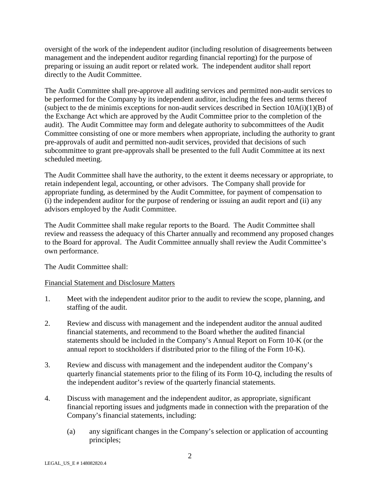oversight of the work of the independent auditor (including resolution of disagreements between management and the independent auditor regarding financial reporting) for the purpose of preparing or issuing an audit report or related work. The independent auditor shall report directly to the Audit Committee.

The Audit Committee shall pre-approve all auditing services and permitted non-audit services to be performed for the Company by its independent auditor, including the fees and terms thereof (subject to the de minimis exceptions for non-audit services described in Section  $10A(i)(1)(B)$  of the Exchange Act which are approved by the Audit Committee prior to the completion of the audit). The Audit Committee may form and delegate authority to subcommittees of the Audit Committee consisting of one or more members when appropriate, including the authority to grant pre-approvals of audit and permitted non-audit services, provided that decisions of such subcommittee to grant pre-approvals shall be presented to the full Audit Committee at its next scheduled meeting.

The Audit Committee shall have the authority, to the extent it deems necessary or appropriate, to retain independent legal, accounting, or other advisors. The Company shall provide for appropriate funding, as determined by the Audit Committee, for payment of compensation to (i) the independent auditor for the purpose of rendering or issuing an audit report and (ii) any advisors employed by the Audit Committee.

The Audit Committee shall make regular reports to the Board. The Audit Committee shall review and reassess the adequacy of this Charter annually and recommend any proposed changes to the Board for approval. The Audit Committee annually shall review the Audit Committee's own performance.

The Audit Committee shall:

## Financial Statement and Disclosure Matters

- 1. Meet with the independent auditor prior to the audit to review the scope, planning, and staffing of the audit.
- 2. Review and discuss with management and the independent auditor the annual audited financial statements, and recommend to the Board whether the audited financial statements should be included in the Company's Annual Report on Form 10-K (or the annual report to stockholders if distributed prior to the filing of the Form 10-K).
- 3. Review and discuss with management and the independent auditor the Company's quarterly financial statements prior to the filing of its Form 10-Q, including the results of the independent auditor's review of the quarterly financial statements.
- 4. Discuss with management and the independent auditor, as appropriate, significant financial reporting issues and judgments made in connection with the preparation of the Company's financial statements, including:
	- (a) any significant changes in the Company's selection or application of accounting principles;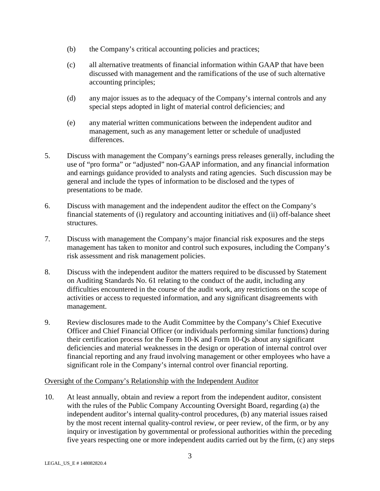- (b) the Company's critical accounting policies and practices;
- (c) all alternative treatments of financial information within GAAP that have been discussed with management and the ramifications of the use of such alternative accounting principles;
- (d) any major issues as to the adequacy of the Company's internal controls and any special steps adopted in light of material control deficiencies; and
- (e) any material written communications between the independent auditor and management, such as any management letter or schedule of unadjusted differences.
- 5. Discuss with management the Company's earnings press releases generally, including the use of "pro forma" or "adjusted" non-GAAP information, and any financial information and earnings guidance provided to analysts and rating agencies. Such discussion may be general and include the types of information to be disclosed and the types of presentations to be made.
- 6. Discuss with management and the independent auditor the effect on the Company's financial statements of (i) regulatory and accounting initiatives and (ii) off-balance sheet structures.
- 7. Discuss with management the Company's major financial risk exposures and the steps management has taken to monitor and control such exposures, including the Company's risk assessment and risk management policies.
- 8. Discuss with the independent auditor the matters required to be discussed by Statement on Auditing Standards No. 61 relating to the conduct of the audit, including any difficulties encountered in the course of the audit work, any restrictions on the scope of activities or access to requested information, and any significant disagreements with management.
- 9. Review disclosures made to the Audit Committee by the Company's Chief Executive Officer and Chief Financial Officer (or individuals performing similar functions) during their certification process for the Form 10-K and Form 10-Qs about any significant deficiencies and material weaknesses in the design or operation of internal control over financial reporting and any fraud involving management or other employees who have a significant role in the Company's internal control over financial reporting.

## Oversight of the Company's Relationship with the Independent Auditor

10. At least annually, obtain and review a report from the independent auditor, consistent with the rules of the Public Company Accounting Oversight Board, regarding (a) the independent auditor's internal quality-control procedures, (b) any material issues raised by the most recent internal quality-control review, or peer review, of the firm, or by any inquiry or investigation by governmental or professional authorities within the preceding five years respecting one or more independent audits carried out by the firm, (c) any steps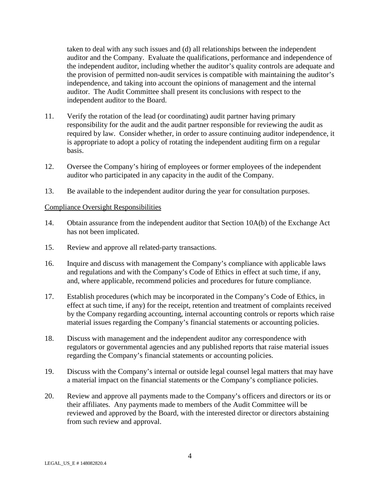taken to deal with any such issues and (d) all relationships between the independent auditor and the Company. Evaluate the qualifications, performance and independence of the independent auditor, including whether the auditor's quality controls are adequate and the provision of permitted non-audit services is compatible with maintaining the auditor's independence, and taking into account the opinions of management and the internal auditor. The Audit Committee shall present its conclusions with respect to the independent auditor to the Board.

- 11. Verify the rotation of the lead (or coordinating) audit partner having primary responsibility for the audit and the audit partner responsible for reviewing the audit as required by law. Consider whether, in order to assure continuing auditor independence, it is appropriate to adopt a policy of rotating the independent auditing firm on a regular basis.
- 12. Oversee the Company's hiring of employees or former employees of the independent auditor who participated in any capacity in the audit of the Company.
- 13. Be available to the independent auditor during the year for consultation purposes.

## Compliance Oversight Responsibilities

- 14. Obtain assurance from the independent auditor that Section 10A(b) of the Exchange Act has not been implicated.
- 15. Review and approve all related-party transactions.
- 16. Inquire and discuss with management the Company's compliance with applicable laws and regulations and with the Company's Code of Ethics in effect at such time, if any, and, where applicable, recommend policies and procedures for future compliance.
- 17. Establish procedures (which may be incorporated in the Company's Code of Ethics, in effect at such time, if any) for the receipt, retention and treatment of complaints received by the Company regarding accounting, internal accounting controls or reports which raise material issues regarding the Company's financial statements or accounting policies.
- 18. Discuss with management and the independent auditor any correspondence with regulators or governmental agencies and any published reports that raise material issues regarding the Company's financial statements or accounting policies.
- 19. Discuss with the Company's internal or outside legal counsel legal matters that may have a material impact on the financial statements or the Company's compliance policies.
- 20. Review and approve all payments made to the Company's officers and directors or its or their affiliates. Any payments made to members of the Audit Committee will be reviewed and approved by the Board, with the interested director or directors abstaining from such review and approval.